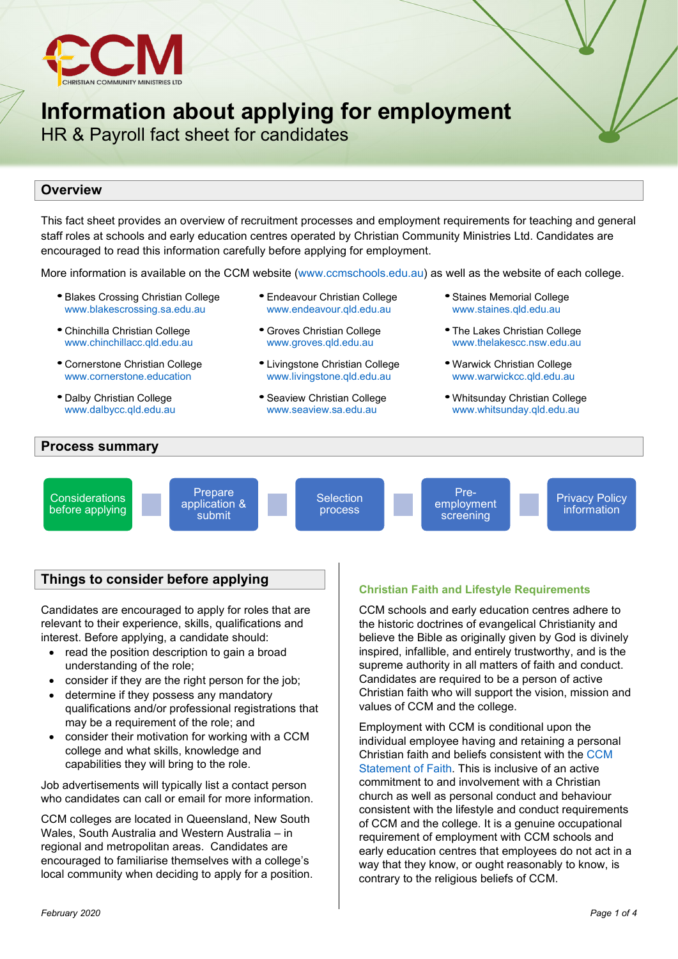

# **Information about applying for employment**

HR & Payroll fact sheet for candidates

# **Overview**

This fact sheet provides an overview of recruitment processes and employment requirements for teaching and general staff roles at schools and early education centres operated by Christian Community Ministries Ltd. Candidates are encouraged to read this information carefully before applying for employment.

More information is available on the CCM website [\(www.ccmschools.edu.au\)](http://www.ccmschools.edu.au/) as well as the website of each college.

- Blakes Crossing Christian College [www.blakescrossing.sa.edu.au](http://www.blakescrossing.sa.edu.au/)
- Chinchilla Christian College [www.chinchillacc.qld.edu.au](http://www.chinchillacc.qld.edu.au/)
- Cornerstone Christian College [www.cornerstone.education](http://www.cornerstone.education/)
- Dalby Christian College [www.dalbycc.qld.edu.au](http://www.dalbycc.qld.edu.au/)
- Endeavour Christian College [www.endeavour.qld.edu.au](http://www.endeavour.qld.edu.au/)
- Groves Christian College [www.groves.qld.edu.au](http://www.groves.qld.edu.au/)
- Livingstone Christian College [www.livingstone.qld.edu.au](http://www.livingstone.qld.edu.au/)
- Seaview Christian College [www.seaview.sa.edu.au](http://www.seaview.sa.edu.au/)
- •Staines Memorial College [www.staines.qld.edu.au](http://www.staines.qld.edu.au/)
- The Lakes Christian College [www.thelakescc.nsw.edu.au](http://www.thelakescc.nsw.edu.au/)
- Warwick Christian College [www.warwickcc.qld.edu.au](http://www.warwickcc.qld.edu.au/)
- Whitsunday Christian College [www.whitsunday.qld.edu.au](http://www.whitsunday.qld.edu.au/)

## **Process summary**

**Considerations** before applying

**Prepare** application & submit

**Selection** process

Preemployment screening

Privacy Policy information

# **Things to consider before applying**

Candidates are encouraged to apply for roles that are relevant to their experience, skills, qualifications and interest. Before applying, a candidate should:

- read the position description to gain a broad understanding of the role;
- consider if they are the right person for the job:
- determine if they possess any mandatory qualifications and/or professional registrations that may be a requirement of the role; and
- consider their motivation for working with a CCM college and what skills, knowledge and capabilities they will bring to the role.

Job advertisements will typically list a contact person who candidates can call or email for more information.

CCM colleges are located in Queensland, New South Wales, South Australia and Western Australia – in regional and metropolitan areas. Candidates are encouraged to familiarise themselves with a college's local community when deciding to apply for a position.

## **Christian Faith and Lifestyle Requirements**

CCM schools and early education centres adhere to the historic doctrines of evangelical Christianity and believe the Bible as originally given by God is divinely inspired, infallible, and entirely trustworthy, and is the supreme authority in all matters of faith and conduct. Candidates are required to be a person of active Christian faith who will support the vision, mission and values of CCM and the college.

Employment with CCM is conditional upon the individual employee having and retaining a personal Christian faith and beliefs consistent with the [CCM](https://www.ccmschools.edu.au/statement-of-faith)  [Statement of Faith.](https://www.ccmschools.edu.au/statement-of-faith) This is inclusive of an active commitment to and involvement with a Christian church as well as personal conduct and behaviour consistent with the lifestyle and conduct requirements of CCM and the college. It is a genuine occupational requirement of employment with CCM schools and early education centres that employees do not act in a way that they know, or ought reasonably to know, is contrary to the religious beliefs of CCM.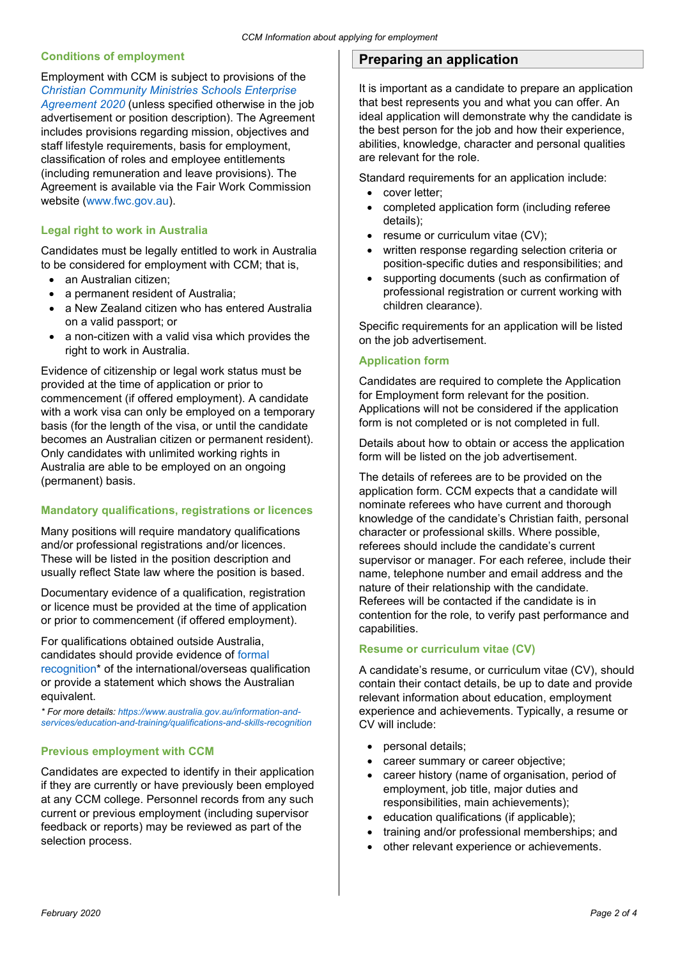## **Conditions of employment**

Employment with CCM is subject to provisions of the *[Christian Community Ministries Schools Enterprise](https://www.fwc.gov.au/documents/documents/agreements/fwa/ae506930.pdf)  [Agreement 2020](https://www.fwc.gov.au/documents/documents/agreements/fwa/ae506930.pdf)* (unless specified otherwise in the job advertisement or position description). The Agreement includes provisions regarding mission, objectives and staff lifestyle requirements, basis for employment, classification of roles and employee entitlements (including remuneration and leave provisions). The Agreement is available via the Fair Work Commission website [\(www.fwc.gov.au\)](http://www.fwc.gov.au/).

## **Legal right to work in Australia**

Candidates must be legally entitled to work in Australia to be considered for employment with CCM; that is,

- an Australian citizen:
- a permanent resident of Australia;
- a New Zealand citizen who has entered Australia on a valid passport; or
- a non-citizen with a valid visa which provides the right to work in Australia.

Evidence of citizenship or legal work status must be provided at the time of application or prior to commencement (if offered employment). A candidate with a work visa can only be employed on a temporary basis (for the length of the visa, or until the candidate becomes an Australian citizen or permanent resident). Only candidates with unlimited working rights in Australia are able to be employed on an ongoing (permanent) basis.

## **Mandatory qualifications, registrations or licences**

Many positions will require mandatory qualifications and/or professional registrations and/or licences. These will be listed in the position description and usually reflect State law where the position is based.

Documentary evidence of a qualification, registration or licence must be provided at the time of application or prior to commencement (if offered employment).

For qualifications obtained outside Australia, candidates should provide evidence of [formal](https://www.australia.gov.au/information-and-services/education-and-training/qualifications-and-skills-recognition)  [recognition\\*](https://www.australia.gov.au/information-and-services/education-and-training/qualifications-and-skills-recognition) of the international/overseas qualification or provide a statement which shows the Australian equivalent.

*\* For more details: [https://www.australia.gov.au/information-and](https://www.australia.gov.au/information-and-services/education-and-training/qualifications-and-skills-recognition)[services/education-and-training/qualifications-and-skills-recognition](https://www.australia.gov.au/information-and-services/education-and-training/qualifications-and-skills-recognition)*

## **Previous employment with CCM**

Candidates are expected to identify in their application if they are currently or have previously been employed at any CCM college. Personnel records from any such current or previous employment (including supervisor feedback or reports) may be reviewed as part of the selection process.

# **Preparing an application**

It is important as a candidate to prepare an application that best represents you and what you can offer. An ideal application will demonstrate why the candidate is the best person for the job and how their experience, abilities, knowledge, character and personal qualities are relevant for the role.

Standard requirements for an application include:

- cover letter;
- completed application form (including referee details);
- resume or curriculum vitae (CV):
- written response regarding selection criteria or position-specific duties and responsibilities; and
- supporting documents (such as confirmation of professional registration or current working with children clearance).

Specific requirements for an application will be listed on the job advertisement.

#### **Application form**

Candidates are required to complete the Application for Employment form relevant for the position. Applications will not be considered if the application form is not completed or is not completed in full.

Details about how to obtain or access the application form will be listed on the job advertisement.

The details of referees are to be provided on the application form. CCM expects that a candidate will nominate referees who have current and thorough knowledge of the candidate's Christian faith, personal character or professional skills. Where possible, referees should include the candidate's current supervisor or manager. For each referee, include their name, telephone number and email address and the nature of their relationship with the candidate. Referees will be contacted if the candidate is in contention for the role, to verify past performance and capabilities.

#### **Resume or curriculum vitae (CV)**

A candidate's resume, or curriculum vitae (CV), should contain their contact details, be up to date and provide relevant information about education, employment experience and achievements. Typically, a resume or CV will include:

- personal details;
- career summary or career objective;
- career history (name of organisation, period of employment, job title, major duties and responsibilities, main achievements);
- education qualifications (if applicable);
- training and/or professional memberships; and
- other relevant experience or achievements.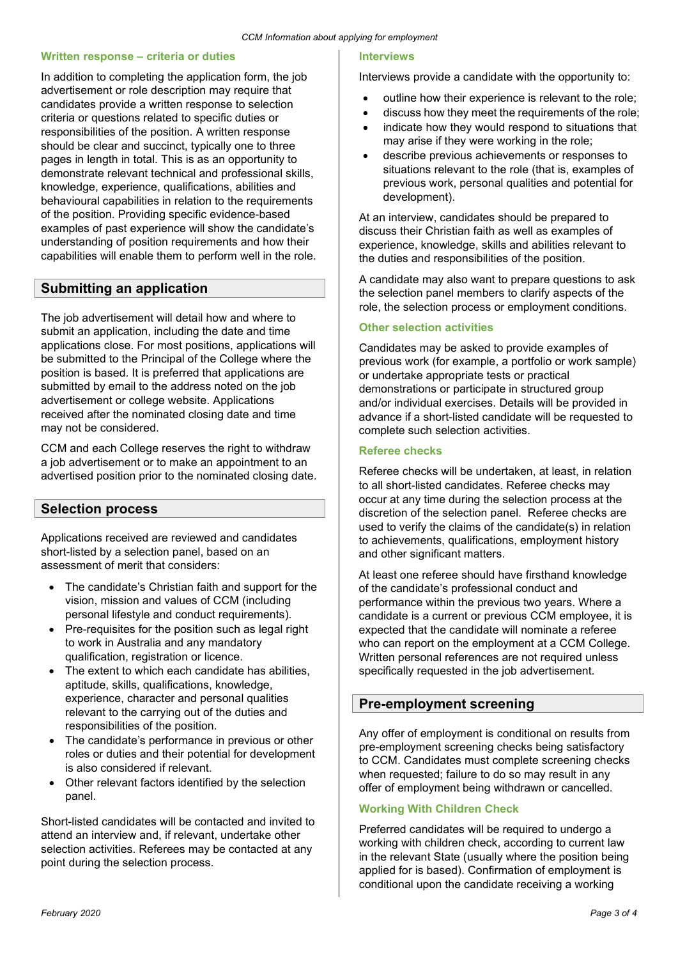#### **Written response – criteria or duties**

In addition to completing the application form, the job advertisement or role description may require that candidates provide a written response to selection criteria or questions related to specific duties or responsibilities of the position. A written response should be clear and succinct, typically one to three pages in length in total. This is as an opportunity to demonstrate relevant technical and professional skills, knowledge, experience, qualifications, abilities and behavioural capabilities in relation to the requirements of the position. Providing specific evidence-based examples of past experience will show the candidate's understanding of position requirements and how their capabilities will enable them to perform well in the role.

# **Submitting an application**

The job advertisement will detail how and where to submit an application, including the date and time applications close. For most positions, applications will be submitted to the Principal of the College where the position is based. It is preferred that applications are submitted by email to the address noted on the job advertisement or college website. Applications received after the nominated closing date and time may not be considered.

CCM and each College reserves the right to withdraw a job advertisement or to make an appointment to an advertised position prior to the nominated closing date.

# **Selection process**

Applications received are reviewed and candidates short-listed by a selection panel, based on an assessment of merit that considers:

- The candidate's Christian faith and support for the vision, mission and values of CCM (including personal lifestyle and conduct requirements).
- Pre-requisites for the position such as legal right to work in Australia and any mandatory qualification, registration or licence.
- The extent to which each candidate has abilities, aptitude, skills, qualifications, knowledge, experience, character and personal qualities relevant to the carrying out of the duties and responsibilities of the position.
- The candidate's performance in previous or other roles or duties and their potential for development is also considered if relevant.
- Other relevant factors identified by the selection panel.

Short-listed candidates will be contacted and invited to attend an interview and, if relevant, undertake other selection activities. Referees may be contacted at any point during the selection process.

#### **Interviews**

Interviews provide a candidate with the opportunity to:

- outline how their experience is relevant to the role;
- discuss how they meet the requirements of the role;
- indicate how they would respond to situations that may arise if they were working in the role;
- describe previous achievements or responses to situations relevant to the role (that is, examples of previous work, personal qualities and potential for development).

At an interview, candidates should be prepared to discuss their Christian faith as well as examples of experience, knowledge, skills and abilities relevant to the duties and responsibilities of the position.

A candidate may also want to prepare questions to ask the selection panel members to clarify aspects of the role, the selection process or employment conditions.

#### **Other selection activities**

Candidates may be asked to provide examples of previous work (for example, a portfolio or work sample) or undertake appropriate tests or practical demonstrations or participate in structured group and/or individual exercises. Details will be provided in advance if a short-listed candidate will be requested to complete such selection activities.

#### **Referee checks**

Referee checks will be undertaken, at least, in relation to all short-listed candidates. Referee checks may occur at any time during the selection process at the discretion of the selection panel. Referee checks are used to verify the claims of the candidate(s) in relation to achievements, qualifications, employment history and other significant matters.

At least one referee should have firsthand knowledge of the candidate's professional conduct and performance within the previous two years. Where a candidate is a current or previous CCM employee, it is expected that the candidate will nominate a referee who can report on the employment at a CCM College. Written personal references are not required unless specifically requested in the job advertisement.

# **Pre-employment screening**

Any offer of employment is conditional on results from pre-employment screening checks being satisfactory to CCM. Candidates must complete screening checks when requested; failure to do so may result in any offer of employment being withdrawn or cancelled.

## **Working With Children Check**

Preferred candidates will be required to undergo a working with children check, according to current law in the relevant State (usually where the position being applied for is based). Confirmation of employment is conditional upon the candidate receiving a working